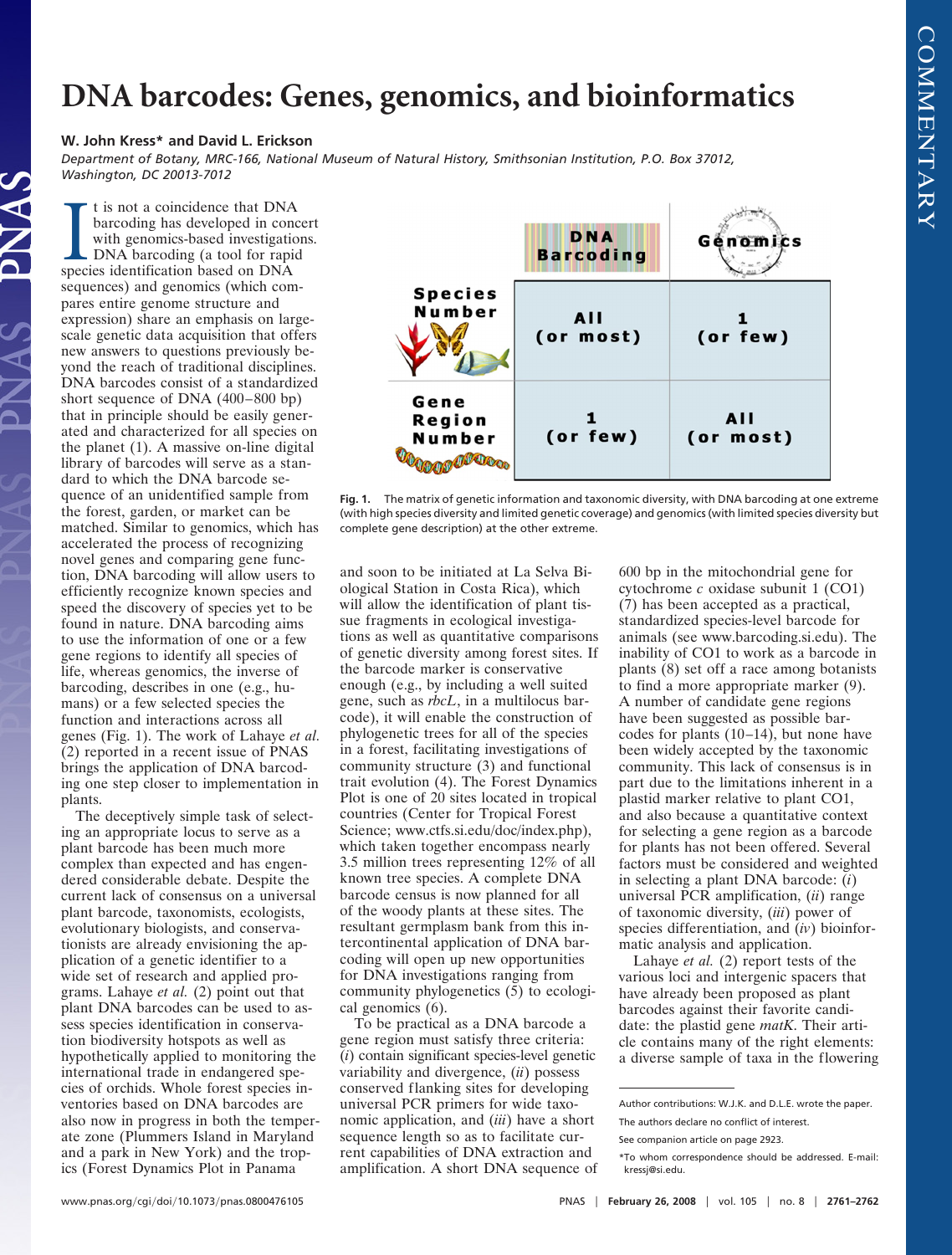## **DNA barcodes: Genes, genomics, and bioinformatics**

## **W. John Kress\* and David L. Erickson**

*Department of Botany, MRC-166, National Museum of Natural History, Smithsonian Institution, P.O. Box 37012, Washington, DC 20013-7012*

It is not a coincidence that DNA<br>barcoding has developed in con<br>with genomics-based investigation<br>DNA barcoding (a tool for rapi<br>species identification based on DNA t is not a coincidence that DNA barcoding has developed in concert with genomics-based investigations. DNA barcoding (a tool for rapid sequences) and genomics (which compares entire genome structure and expression) share an emphasis on largescale genetic data acquisition that offers new answers to questions previously beyond the reach of traditional disciplines. DNA barcodes consist of a standardized short sequence of DNA (400–800 bp) that in principle should be easily generated and characterized for all species on the planet (1). A massive on-line digital library of barcodes will serve as a standard to which the DNA barcode sequence of an unidentified sample from the forest, garden, or market can be matched. Similar to genomics, which has accelerated the process of recognizing novel genes and comparing gene function, DNA barcoding will allow users to efficiently recognize known species and speed the discovery of species yet to be found in nature. DNA barcoding aims to use the information of one or a few gene regions to identify all species of life, whereas genomics, the inverse of barcoding, describes in one (e.g., humans) or a few selected species the function and interactions across all genes (Fig. 1). The work of Lahaye *et al.* (2) reported in a recent issue of PNAS brings the application of DNA barcoding one step closer to implementation in plants.

The deceptively simple task of selecting an appropriate locus to serve as a plant barcode has been much more complex than expected and has engendered considerable debate. Despite the current lack of consensus on a universal plant barcode, taxonomists, ecologists, evolutionary biologists, and conservationists are already envisioning the application of a genetic identifier to a wide set of research and applied programs. Lahaye *et al.* (2) point out that plant DNA barcodes can be used to assess species identification in conservation biodiversity hotspots as well as hypothetically applied to monitoring the international trade in endangered species of orchids. Whole forest species inventories based on DNA barcodes are also now in progress in both the temperate zone (Plummers Island in Maryland and a park in New York) and the tropics (Forest Dynamics Plot in Panama



**Fig. 1.** The matrix of genetic information and taxonomic diversity, with DNA barcoding at one extreme (with high species diversity and limited genetic coverage) and genomics (with limited species diversity but complete gene description) at the other extreme.

and soon to be initiated at La Selva Biological Station in Costa Rica), which will allow the identification of plant tissue fragments in ecological investigations as well as quantitative comparisons of genetic diversity among forest sites. If the barcode marker is conservative enough (e.g., by including a well suited gene, such as *rbcL*, in a multilocus barcode), it will enable the construction of phylogenetic trees for all of the species in a forest, facilitating investigations of community structure (3) and functional trait evolution (4). The Forest Dynamics Plot is one of 20 sites located in tropical countries (Center for Tropical Forest Science; www.ctfs.si.edu/doc/index.php), which taken together encompass nearly 3.5 million trees representing 12% of all known tree species. A complete DNA barcode census is now planned for all of the woody plants at these sites. The resultant germplasm bank from this intercontinental application of DNA barcoding will open up new opportunities for DNA investigations ranging from community phylogenetics (5) to ecological genomics (6).

To be practical as a DNA barcode a gene region must satisfy three criteria: (*i*) contain significant species-level genetic variability and divergence, (*ii*) possess conserved flanking sites for developing universal PCR primers for wide taxonomic application, and (*iii*) have a short sequence length so as to facilitate current capabilities of DNA extraction and amplification. A short DNA sequence of

600 bp in the mitochondrial gene for cytochrome *c* oxidase subunit 1 (CO1) (7) has been accepted as a practical, standardized species-level barcode for animals (see www.barcoding.si.edu). The inability of CO1 to work as a barcode in plants (8) set off a race among botanists to find a more appropriate marker (9). A number of candidate gene regions have been suggested as possible barcodes for plants (10–14), but none have been widely accepted by the taxonomic community. This lack of consensus is in part due to the limitations inherent in a plastid marker relative to plant CO1, and also because a quantitative context for selecting a gene region as a barcode for plants has not been offered. Several factors must be considered and weighted in selecting a plant DNA barcode: (*i*) universal PCR amplification, (*ii*) range of taxonomic diversity, (*iii*) power of species differentiation, and (*iv*) bioinformatic analysis and application.

Lahaye *et al.* (2) report tests of the various loci and intergenic spacers that have already been proposed as plant barcodes against their favorite candidate: the plastid gene *matK*. Their article contains many of the right elements: a diverse sample of taxa in the flowering

Author contributions: W.J.K. and D.L.E. wrote the paper. The authors declare no conflict of interest.

See companion article on page 2923.

<sup>\*</sup>To whom correspondence should be addressed. E-mail: kressj@si.edu.